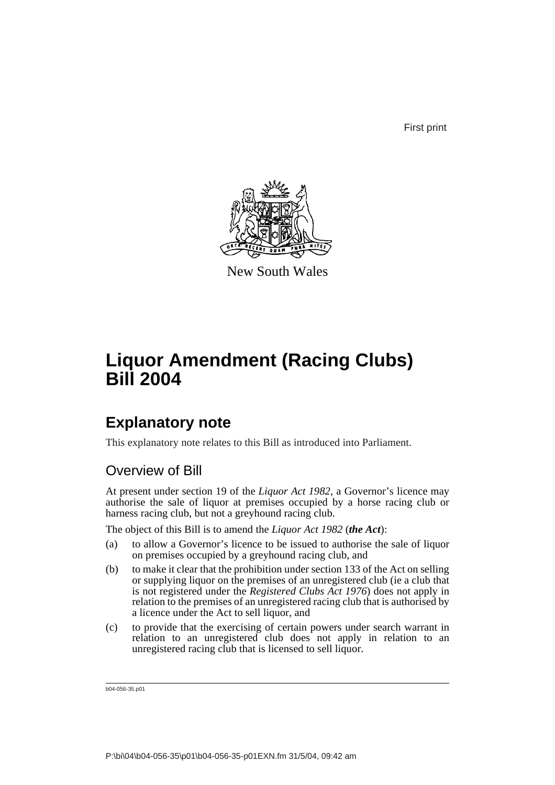First print



New South Wales

# **Liquor Amendment (Racing Clubs) Bill 2004**

## **Explanatory note**

This explanatory note relates to this Bill as introduced into Parliament.

#### Overview of Bill

At present under section 19 of the *Liquor Act 1982*, a Governor's licence may authorise the sale of liquor at premises occupied by a horse racing club or harness racing club, but not a greyhound racing club.

The object of this Bill is to amend the *Liquor Act 1982* (*the Act*):

- (a) to allow a Governor's licence to be issued to authorise the sale of liquor on premises occupied by a greyhound racing club, and
- (b) to make it clear that the prohibition under section 133 of the Act on selling or supplying liquor on the premises of an unregistered club (ie a club that is not registered under the *Registered Clubs Act 1976*) does not apply in relation to the premises of an unregistered racing club that is authorised by a licence under the Act to sell liquor, and
- (c) to provide that the exercising of certain powers under search warrant in relation to an unregistered club does not apply in relation to an unregistered racing club that is licensed to sell liquor.

b04-056-35.p01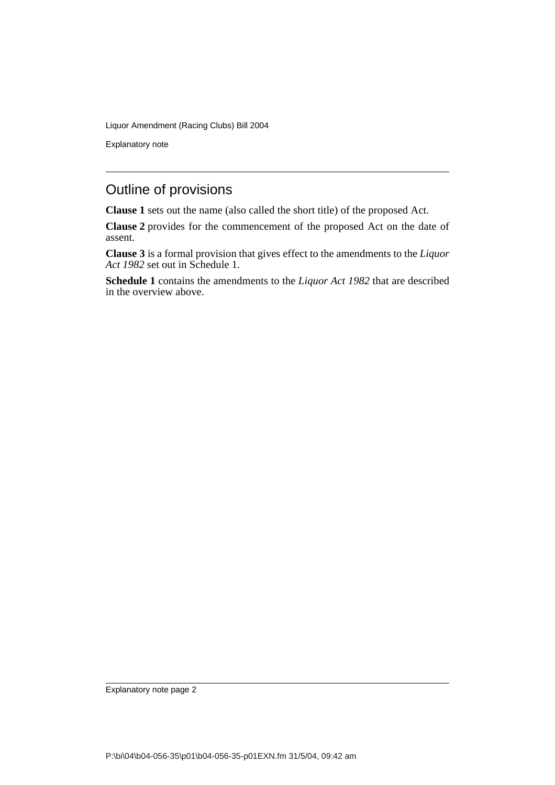Liquor Amendment (Racing Clubs) Bill 2004

Explanatory note

#### Outline of provisions

**Clause 1** sets out the name (also called the short title) of the proposed Act.

**Clause 2** provides for the commencement of the proposed Act on the date of assent.

**Clause 3** is a formal provision that gives effect to the amendments to the *Liquor Act 1982* set out in Schedule 1.

**Schedule 1** contains the amendments to the *Liquor Act 1982* that are described in the overview above.

Explanatory note page 2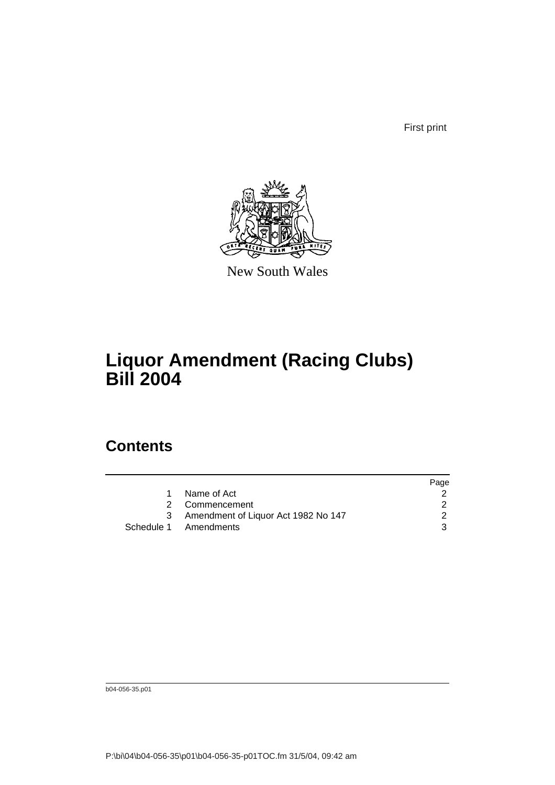First print



New South Wales

## **Liquor Amendment (Racing Clubs) Bill 2004**

## **Contents**

|                                     | Page |
|-------------------------------------|------|
| Name of Act                         |      |
| 2 Commencement                      |      |
| Amendment of Liquor Act 1982 No 147 |      |
| Schedule 1 Amendments               | 3    |
|                                     |      |

b04-056-35.p01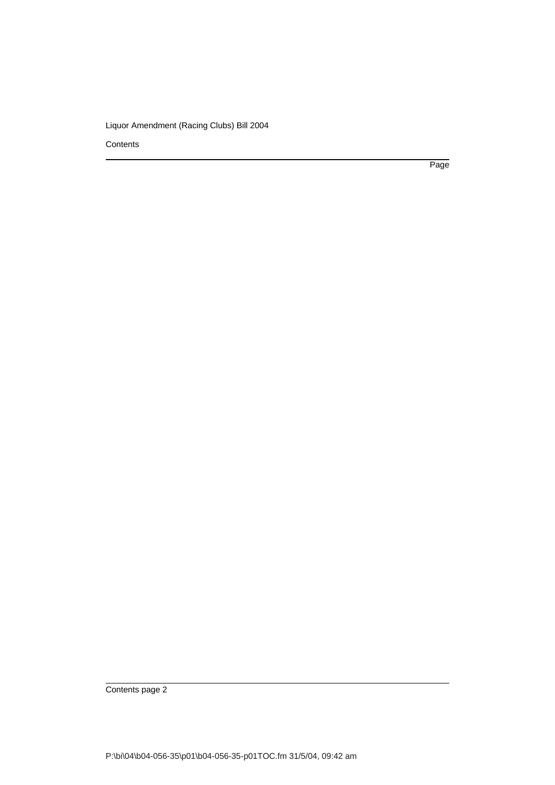Liquor Amendment (Racing Clubs) Bill 2004

**Contents** 

Page

Contents page 2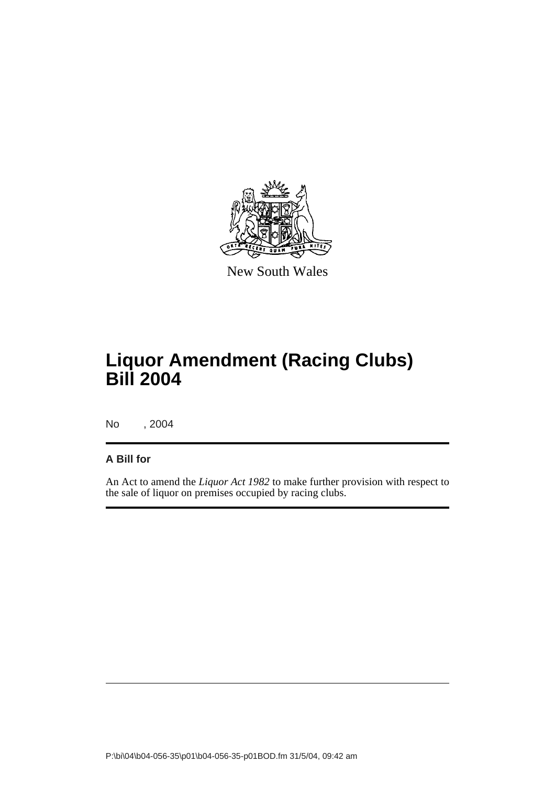

New South Wales

# **Liquor Amendment (Racing Clubs) Bill 2004**

No , 2004

#### **A Bill for**

An Act to amend the *Liquor Act 1982* to make further provision with respect to the sale of liquor on premises occupied by racing clubs.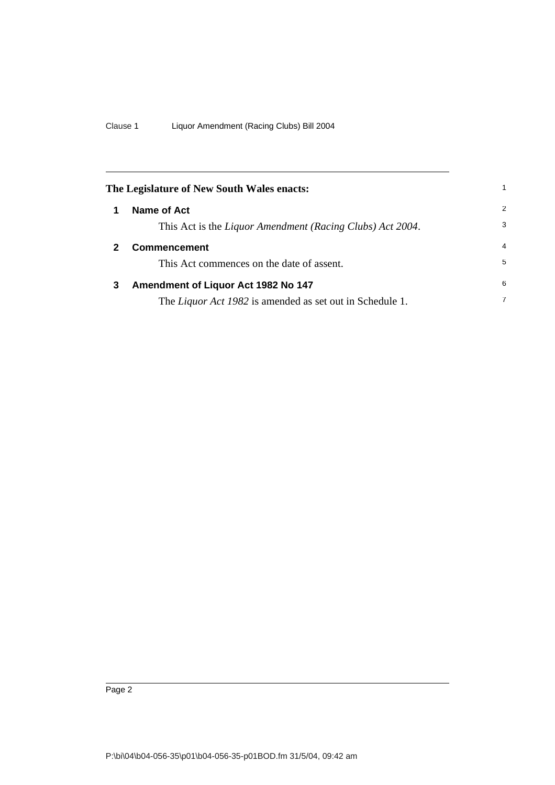| The Legislature of New South Wales enacts: |                                                                 |                |
|--------------------------------------------|-----------------------------------------------------------------|----------------|
| 1                                          | Name of Act                                                     | 2              |
|                                            | This Act is the Liquor Amendment (Racing Clubs) Act 2004.       | 3              |
|                                            | <b>Commencement</b>                                             | $\overline{4}$ |
|                                            | This Act commences on the date of assent.                       | 5              |
| 3                                          | Amendment of Liquor Act 1982 No 147                             | 6              |
|                                            | The <i>Liquor Act 1982</i> is amended as set out in Schedule 1. | 7              |